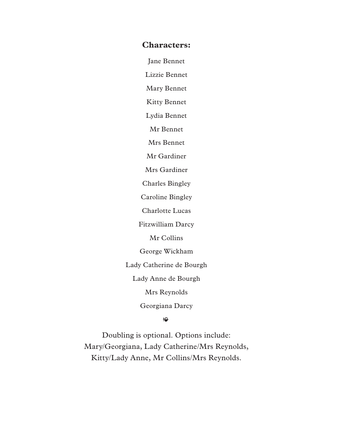#### **Characters:**

Jane Bennet

Lizzie Bennet

Mary Bennet

Kitty Bennet

Lydia Bennet

Mr Bennet

Mrs Bennet

Mr Gardiner

Mrs Gardiner

Charles Bingley

Caroline Bingley

Charlotte Lucas

Fitzwilliam Darcy

Mr Collins

George Wickham

Lady Catherine de Bourgh

Lady Anne de Bourgh

Mrs Reynolds

Georgiana Darcy

#### $\rightarrow$

Doubling is optional. Options include: Mary/Georgiana, Lady Catherine/Mrs Reynolds, Kitty/Lady Anne, Mr Collins/Mrs Reynolds.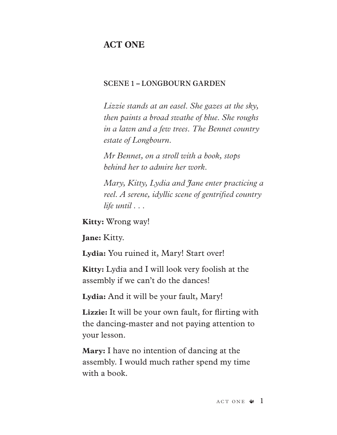# **ACT ONE**

# **SCENE 1 – LONGBOURN GARDEN**

*Lizzie stands at an easel. She gazes at the sky, then paints a broad swathe of blue. She roughs in a lawn and a few trees. The Bennet country estate of Longbourn.*

*Mr Bennet, on a stroll with a book, stops behind her to admire her work.* 

*Mary, Kitty, Lydia and Jane enter practicing a reel. A serene, idyllic scene of gentrifed country life until . . .* 

**Kitty:** Wrong way!

**Jane:** Kitty.

**Lydia:** You ruined it, Mary! Start over!

**Kitty:** Lydia and I will look very foolish at the assembly if we can't do the dances!

**Lydia:** And it will be your fault, Mary!

**Lizzie:** It will be your own fault, for firting with the dancing-master and not paying attention to your lesson.

**Mary:** I have no intention of dancing at the assembly. I would much rather spend my time with a book.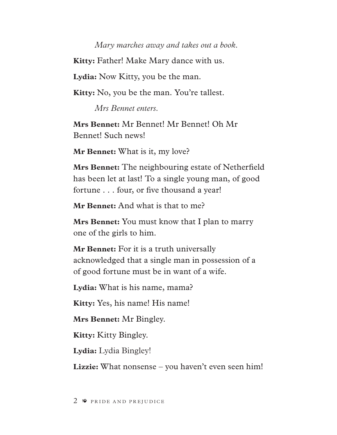## *Mary marches away and takes out a book.*

**Kitty:** Father! Make Mary dance with us.

**Lydia:** Now Kitty, you be the man.

**Kitty:** No, you be the man. You're tallest.

*Mrs Bennet enters.*

**Mrs Bennet:** Mr Bennet! Mr Bennet! Oh Mr Bennet! Such news!

**Mr Bennet:** What is it, my love?

**Mrs Bennet:** The neighbouring estate of Netherfeld has been let at last! To a single young man, of good fortune . . . four, or fve thousand a year!

**Mr Bennet:** And what is that to me?

**Mrs Bennet:** You must know that I plan to marry one of the girls to him.

**Mr Bennet:** For it is a truth universally acknowledged that a single man in possession of a of good fortune must be in want of a wife.

**Lydia:** What is his name, mama?

**Kitty:** Yes, his name! His name!

**Mrs Bennet:** Mr Bingley.

**Kitty:** Kitty Bingley.

**Lydia:** Lydia Bingley!

**Lizzie:** What nonsense – you haven't even seen him!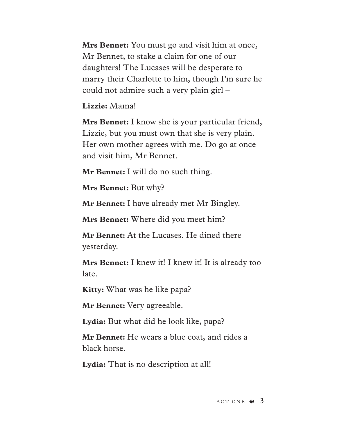**Mrs Bennet:** You must go and visit him at once, Mr Bennet, to stake a claim for one of our daughters! The Lucases will be desperate to marry their Charlotte to him, though I'm sure he could not admire such a very plain girl –

**Lizzie:** Mama!

**Mrs Bennet:** I know she is your particular friend, Lizzie, but you must own that she is very plain. Her own mother agrees with me. Do go at once and visit him, Mr Bennet.

**Mr Bennet:** I will do no such thing.

**Mrs Bennet:** But why?

**Mr Bennet:** I have already met Mr Bingley.

**Mrs Bennet:** Where did you meet him?

**Mr Bennet:** At the Lucases. He dined there yesterday.

**Mrs Bennet:** I knew it! I knew it! It is already too late.

**Kitty:** What was he like papa?

**Mr Bennet:** Very agreeable.

Lydia: But what did he look like, papa?

**Mr Bennet:** He wears a blue coat, and rides a black horse.

**Lydia:** That is no description at all!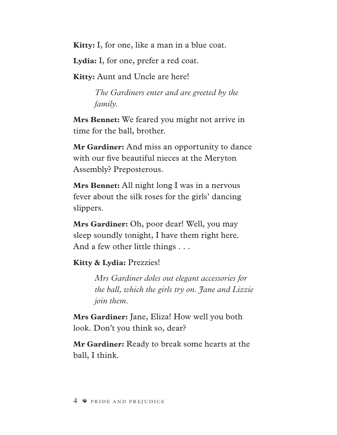**Kitty:** I, for one, like a man in a blue coat.

**Lydia:** I, for one, prefer a red coat.

**Kitty:** Aunt and Uncle are here!

*The Gardiners enter and are greeted by the family.*

**Mrs Bennet:** We feared you might not arrive in time for the ball, brother.

**Mr Gardiner:** And miss an opportunity to dance with our five beautiful nieces at the Meryton Assembly? Preposterous.

**Mrs Bennet:** All night long I was in a nervous fever about the silk roses for the girls' dancing slippers.

**Mrs Gardiner:** Oh, poor dear! Well, you may sleep soundly tonight, I have them right here. And a few other little things . . .

# **Kitty & Lydia:** Prezzies!

*Mrs Gardiner doles out elegant accessories for the ball, which the girls try on. Jane and Lizzie join them.*

**Mrs Gardiner:** Jane, Eliza! How well you both look. Don't you think so, dear?

**Mr Gardiner:** Ready to break some hearts at the ball, I think.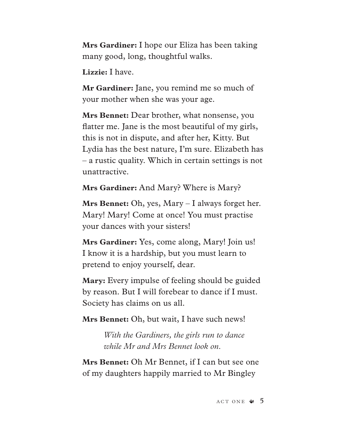**Mrs Gardiner:** I hope our Eliza has been taking many good, long, thoughtful walks.

**Lizzie:** I have.

**Mr Gardiner:** Jane, you remind me so much of your mother when she was your age.

**Mrs Bennet:** Dear brother, what nonsense, you fatter me. Jane is the most beautiful of my girls, this is not in dispute, and after her, Kitty. But Lydia has the best nature, I'm sure. Elizabeth has – a rustic quality. Which in certain settings is not unattractive.

**Mrs Gardiner:** And Mary? Where is Mary?

**Mrs Bennet:** Oh, yes, Mary – I always forget her. Mary! Mary! Come at once! You must practise your dances with your sisters!

**Mrs Gardiner:** Yes, come along, Mary! Join us! I know it is a hardship, but you must learn to pretend to enjoy yourself, dear.

**Mary:** Every impulse of feeling should be guided by reason. But I will forebear to dance if I must. Society has claims on us all.

**Mrs Bennet:** Oh, but wait, I have such news!

*With the Gardiners, the girls run to dance while Mr and Mrs Bennet look on.* 

**Mrs Bennet:** Oh Mr Bennet, if I can but see one of my daughters happily married to Mr Bingley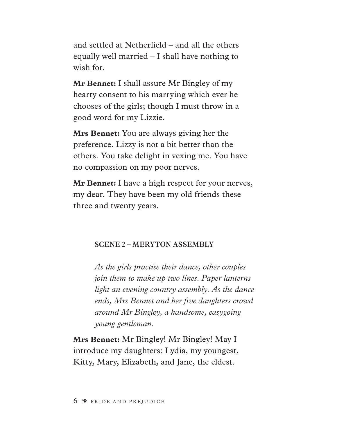and settled at Netherfeld – and all the others equally well married – I shall have nothing to wish for.

**Mr Bennet:** I shall assure Mr Bingley of my hearty consent to his marrying which ever he chooses of the girls; though I must throw in a good word for my Lizzie.

**Mrs Bennet:** You are always giving her the preference. Lizzy is not a bit better than the others. You take delight in vexing me. You have no compassion on my poor nerves.

**Mr Bennet:** I have a high respect for your nerves, my dear. They have been my old friends these three and twenty years.

### **SCENE 2 – MERYTON ASSEMBLY**

*As the girls practise their dance, other couples join them to make up two lines. Paper lanterns light an evening country assembly. As the dance ends, Mrs Bennet and her fve daughters crowd around Mr Bingley, a handsome, easygoing young gentleman.* 

**Mrs Bennet:** Mr Bingley! Mr Bingley! May I introduce my daughters: Lydia, my youngest, Kitty, Mary, Elizabeth, and Jane, the eldest.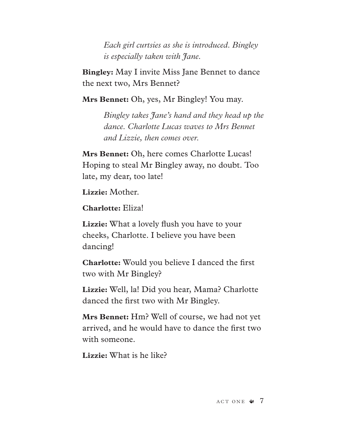*Each girl curtsies as she is introduced. Bingley is especially taken with Jane.*

**Bingley:** May I invite Miss Jane Bennet to dance the next two, Mrs Bennet?

**Mrs Bennet:** Oh, yes, Mr Bingley! You may.

*Bingley takes Jane's hand and they head up the dance. Charlotte Lucas waves to Mrs Bennet and Lizzie, then comes over.* 

**Mrs Bennet:** Oh, here comes Charlotte Lucas! Hoping to steal Mr Bingley away, no doubt. Too late, my dear, too late!

**Lizzie:** Mother.

**Charlotte:** Eliza!

**Lizzie:** What a lovely fush you have to your cheeks, Charlotte. I believe you have been dancing!

**Charlotte:** Would you believe I danced the frst two with Mr Bingley?

**Lizzie:** Well, la! Did you hear, Mama? Charlotte danced the frst two with Mr Bingley.

**Mrs Bennet:** Hm? Well of course, we had not yet arrived, and he would have to dance the frst two with someone.

**Lizzie:** What is he like?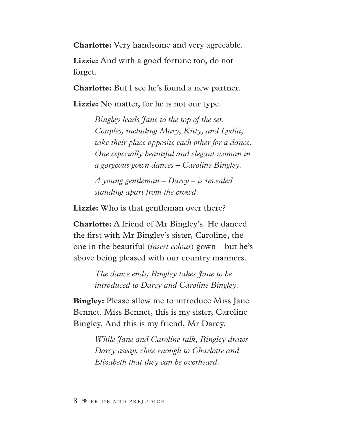**Charlotte:** Very handsome and very agreeable.

**Lizzie:** And with a good fortune too, do not forget.

**Charlotte:** But I see he's found a new partner.

**Lizzie:** No matter, for he is not our type.

*Bingley leads Jane to the top of the set. Couples, including Mary, Kitty, and Lydia, take their place opposite each other for a dance. One especially beautiful and elegant woman in a gorgeous gown dances – Caroline Bingley.* 

*A young gentleman – Darcy – is revealed standing apart from the crowd.*

**Lizzie:** Who is that gentleman over there?

**Charlotte:** A friend of Mr Bingley's. He danced the frst with Mr Bingley's sister, Caroline, the one in the beautiful (*insert colour*) gown – but he's above being pleased with our country manners.

> *The dance ends; Bingley takes Jane to be introduced to Darcy and Caroline Bingley.*

**Bingley:** Please allow me to introduce Miss Jane Bennet. Miss Bennet, this is my sister, Caroline Bingley. And this is my friend, Mr Darcy.

> *While Jane and Caroline talk, Bingley draws Darcy away, close enough to Charlotte and Elizabeth that they can be overheard.*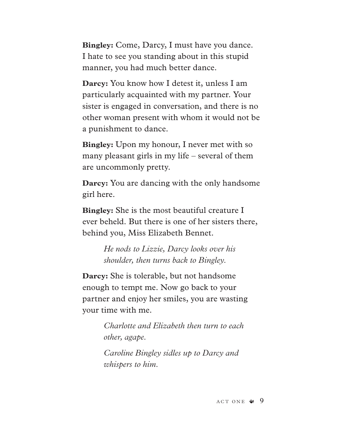**Bingley:** Come, Darcy, I must have you dance. I hate to see you standing about in this stupid manner, you had much better dance.

**Darcy:** You know how I detest it, unless I am particularly acquainted with my partner. Your sister is engaged in conversation, and there is no other woman present with whom it would not be a punishment to dance.

**Bingley:** Upon my honour, I never met with so many pleasant girls in my life – several of them are uncommonly pretty.

**Darcy:** You are dancing with the only handsome girl here.

**Bingley:** She is the most beautiful creature I ever beheld. But there is one of her sisters there, behind you, Miss Elizabeth Bennet.

> *He nods to Lizzie, Darcy looks over his shoulder, then turns back to Bingley.*

**Darcy:** She is tolerable, but not handsome enough to tempt me. Now go back to your partner and enjoy her smiles, you are wasting your time with me.

> *Charlotte and Elizabeth then turn to each other, agape.*

*Caroline Bingley sidles up to Darcy and whispers to him.*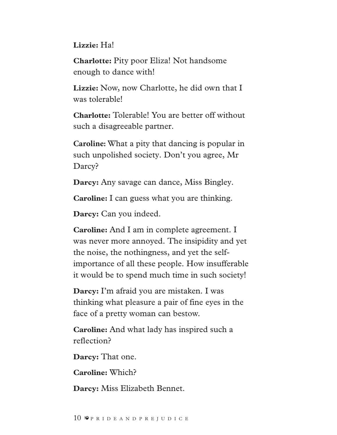# **Lizzie:** Ha!

**Charlotte:** Pity poor Eliza! Not handsome enough to dance with!

**Lizzie:** Now, now Charlotte, he did own that I was tolerable!

**Charlotte:** Tolerable! You are better off without such a disagreeable partner.

**Caroline:** What a pity that dancing is popular in such unpolished society. Don't you agree, Mr Darcy?

**Darcy:** Any savage can dance, Miss Bingley.

**Caroline:** I can guess what you are thinking.

**Darcy:** Can you indeed.

**Caroline:** And I am in complete agreement. I was never more annoyed. The insipidity and yet the noise, the nothingness, and yet the selfimportance of all these people. How insufferable it would be to spend much time in such society!

**Darcy:** I'm afraid you are mistaken. I was thinking what pleasure a pair of fine eyes in the face of a pretty woman can bestow.

**Caroline:** And what lady has inspired such a reflection?

**Darcy:** That one.

**Caroline:** Which?

**Darcy:** Miss Elizabeth Bennet.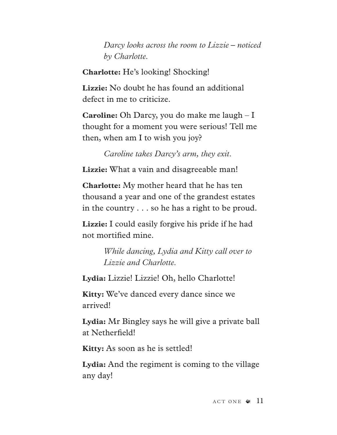*Darcy looks across the room to Lizzie – noticed by Charlotte.*

**Charlotte:** He's looking! Shocking!

**Lizzie:** No doubt he has found an additional defect in me to criticize.

**Caroline:** Oh Darcy, you do make me laugh – I thought for a moment you were serious! Tell me then, when am I to wish you joy?

*Caroline takes Darcy's arm, they exit.*

Lizzie: What a vain and disagreeable man!

**Charlotte:** My mother heard that he has ten thousand a year and one of the grandest estates in the country . . . so he has a right to be proud.

**Lizzie:** I could easily forgive his pride if he had not mortifed mine.

> *While dancing, Lydia and Kitty call over to Lizzie and Charlotte.*

**Lydia:** Lizzie! Lizzie! Oh, hello Charlotte!

**Kitty:** We've danced every dance since we arrived!

**Lydia:** Mr Bingley says he will give a private ball at Netherfeld!

**Kitty:** As soon as he is settled!

**Lydia:** And the regiment is coming to the village any day!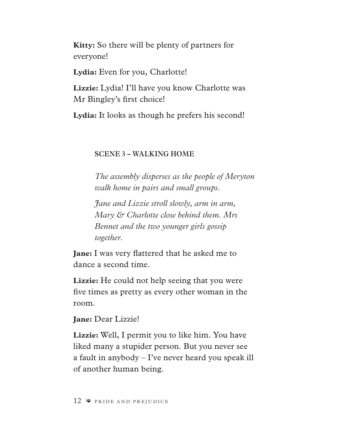**Kitty:** So there will be plenty of partners for everyone!

Lydia: Even for you, Charlotte!

**Lizzie:** Lydia! I'll have you know Charlotte was Mr Bingley's frst choice!

**Lydia:** It looks as though he prefers his second!

# **SCENE 3 – WALKING HOME**

*The assembly disperses as the people of Meryton walk home in pairs and small groups.* 

*Jane and Lizzie stroll slowly, arm in arm, Mary & Charlotte close behind them. Mrs Bennet and the two younger girls gossip together.*

**Jane:** I was very fattered that he asked me to dance a second time.

**Lizzie:** He could not help seeing that you were fve times as pretty as every other woman in the room.

**Jane:** Dear Lizzie!

**Lizzie:** Well, I permit you to like him. You have liked many a stupider person. But you never see a fault in anybody – I've never heard you speak ill of another human being.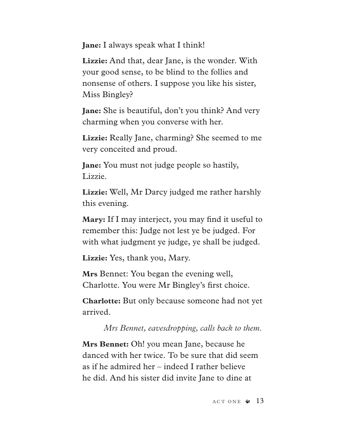**Jane:** I always speak what I think!

**Lizzie:** And that, dear Jane, is the wonder. With your good sense, to be blind to the follies and nonsense of others. I suppose you like his sister, Miss Bingley?

**Jane:** She is beautiful, don't you think? And very charming when you converse with her.

**Lizzie:** Really Jane, charming? She seemed to me very conceited and proud.

**Jane:** You must not judge people so hastily, Lizzie.

**Lizzie:** Well, Mr Darcy judged me rather harshly this evening.

**Mary:** If I may interject, you may fnd it useful to remember this: Judge not lest ye be judged. For with what judgment ye judge, ye shall be judged.

**Lizzie:** Yes, thank you, Mary.

**Mrs** Bennet: You began the evening well, Charlotte. You were Mr Bingley's frst choice.

**Charlotte:** But only because someone had not yet arrived.

*Mrs Bennet, eavesdropping, calls back to them.*

**Mrs Bennet:** Oh! you mean Jane, because he danced with her twice. To be sure that did seem as if he admired her – indeed I rather believe he did. And his sister did invite Jane to dine at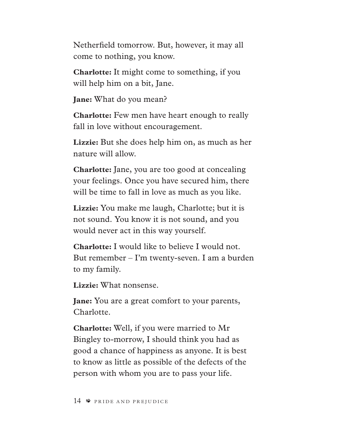Netherfeld tomorrow. But, however, it may all come to nothing, you know.

**Charlotte:** It might come to something, if you will help him on a bit, Jane.

**Jane:** What do you mean?

**Charlotte:** Few men have heart enough to really fall in love without encouragement.

**Lizzie:** But she does help him on, as much as her nature will allow.

**Charlotte:** Jane, you are too good at concealing your feelings. Once you have secured him, there will be time to fall in love as much as you like.

**Lizzie:** You make me laugh, Charlotte; but it is not sound. You know it is not sound, and you would never act in this way yourself.

**Charlotte:** I would like to believe I would not. But remember – I'm twenty-seven. I am a burden to my family.

**Lizzie:** What nonsense.

**Jane:** You are a great comfort to your parents, Charlotte.

**Charlotte:** Well, if you were married to Mr Bingley to-morrow, I should think you had as good a chance of happiness as anyone. It is best to know as little as possible of the defects of the person with whom you are to pass your life.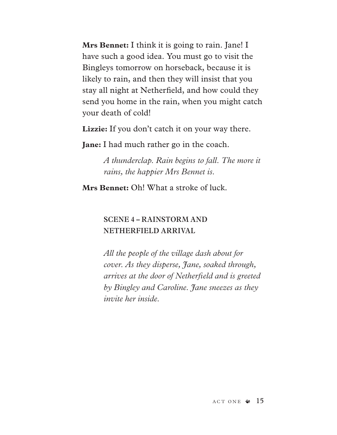**Mrs Bennet:** I think it is going to rain. Jane! I have such a good idea. You must go to visit the Bingleys tomorrow on horseback, because it is likely to rain, and then they will insist that you stay all night at Netherfeld, and how could they send you home in the rain, when you might catch your death of cold!

Lizzie: If you don't catch it on your way there.

**Jane:** I had much rather go in the coach.

*A thunderclap. Rain begins to fall. The more it rains, the happier Mrs Bennet is.*

**Mrs Bennet:** Oh! What a stroke of luck.

# **SCENE 4 – RAINSTORM AND NETHERFIELD ARRIVAL**

*All the people of the village dash about for cover. As they disperse, Jane, soaked through, arrives at the door of Netherfeld and is greeted by Bingley and Caroline. Jane sneezes as they invite her inside.*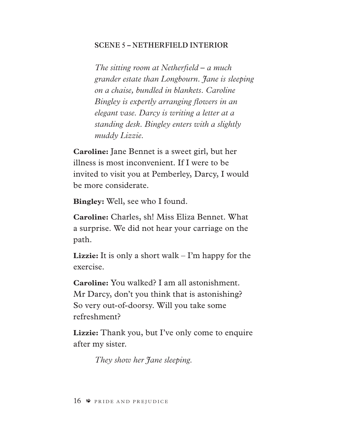#### **SCENE 5 – NETHERFIELD INTERIOR**

*The sitting room at Netherfeld – a much grander estate than Longbourn. Jane is sleeping on a chaise, bundled in blankets. Caroline Bingley is expertly arranging fowers in an elegant vase. Darcy is writing a letter at a standing desk. Bingley enters with a slightly muddy Lizzie.* 

**Caroline:** Jane Bennet is a sweet girl, but her illness is most inconvenient. If I were to be invited to visit you at Pemberley, Darcy, I would be more considerate.

**Bingley:** Well, see who I found.

**Caroline:** Charles, sh! Miss Eliza Bennet. What a surprise. We did not hear your carriage on the path.

**Lizzie:** It is only a short walk – I'm happy for the exercise.

**Caroline:** You walked? I am all astonishment. Mr Darcy, don't you think that is astonishing? So very out-of-doorsy. Will you take some refreshment?

Lizzie: Thank you, but I've only come to enquire after my sister.

*They show her Jane sleeping.*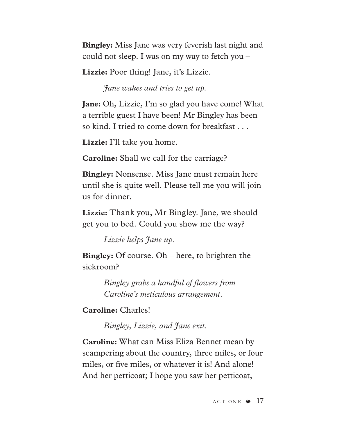**Bingley:** Miss Jane was very feverish last night and could not sleep. I was on my way to fetch you –

**Lizzie:** Poor thing! Jane, it's Lizzie.

*Jane wakes and tries to get up.*

**Jane:** Oh, Lizzie, I'm so glad you have come! What a terrible guest I have been! Mr Bingley has been so kind. I tried to come down for breakfast . . .

**Lizzie:** I'll take you home.

**Caroline:** Shall we call for the carriage?

**Bingley:** Nonsense. Miss Jane must remain here until she is quite well. Please tell me you will join us for dinner.

**Lizzie:** Thank you, Mr Bingley. Jane, we should get you to bed. Could you show me the way?

*Lizzie helps Jane up.*

**Bingley:** Of course. Oh – here, to brighten the sickroom?

> *Bingley grabs a handful of fowers from Caroline's meticulous arrangement.*

**Caroline:** Charles!

*Bingley, Lizzie, and Jane exit.* 

**Caroline:** What can Miss Eliza Bennet mean by scampering about the country, three miles, or four miles, or fve miles, or whatever it is! And alone! And her petticoat; I hope you saw her petticoat,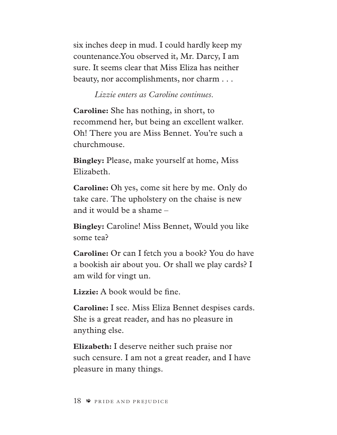six inches deep in mud. I could hardly keep my countenance.You observed it, Mr. Darcy, I am sure. It seems clear that Miss Eliza has neither beauty, nor accomplishments, nor charm . . .

### *Lizzie enters as Caroline continues.*

**Caroline:** She has nothing, in short, to recommend her, but being an excellent walker. Oh! There you are Miss Bennet. You're such a churchmouse.

**Bingley:** Please, make yourself at home, Miss Elizabeth.

**Caroline:** Oh yes, come sit here by me. Only do take care. The upholstery on the chaise is new and it would be a shame –

**Bingley:** Caroline! Miss Bennet, Would you like some tea?

**Caroline:** Or can I fetch you a book? You do have a bookish air about you. Or shall we play cards? I am wild for vingt un.

Lizzie: A book would be fine.

**Caroline:** I see. Miss Eliza Bennet despises cards. She is a great reader, and has no pleasure in anything else.

**Elizabeth:** I deserve neither such praise nor such censure. I am not a great reader, and I have pleasure in many things.